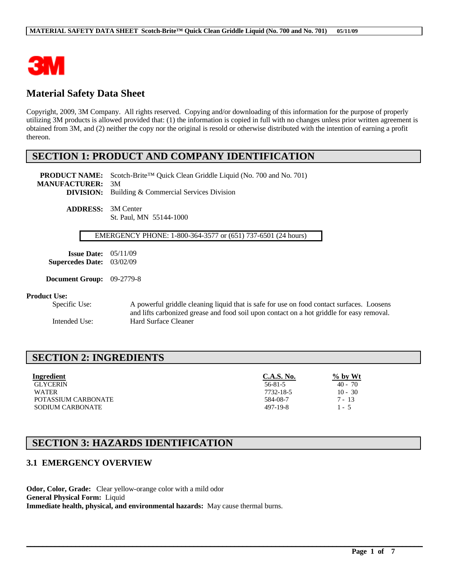

# **Material Safety Data Sheet**

Copyright, 2009, 3M Company. All rights reserved. Copying and/or downloading of this information for the purpose of properly utilizing 3M products is allowed provided that: (1) the information is copied in full with no changes unless prior written agreement is obtained from 3M, and (2) neither the copy nor the original is resold or otherwise distributed with the intention of earning a profit thereon.

## **SECTION 1: PRODUCT AND COMPANY IDENTIFICATION**

**PRODUCT NAME:** Scotch-Brite™ Quick Clean Griddle Liquid (No. 700 and No. 701) **MANUFACTURER:** 3M **DIVISION:** Building & Commercial Services Division **ADDRESS:** 3M Center

St. Paul, MN 55144-1000

#### EMERGENCY PHONE: 1-800-364-3577 or (651) 737-6501 (24 hours)

**Issue Date:** 05/11/09 **Supercedes Date:** 03/02/09

**Document Group:** 09-2779-8

#### **Product Use:**

Specific Use: A powerful griddle cleaning liquid that is safe for use on food contact surfaces. Loosens and lifts carbonized grease and food soil upon contact on a hot griddle for easy removal. Intended Use: Hard Surface Cleaner

## **SECTION 2: INGREDIENTS**

| Ingredient              | <b>C.A.S. No.</b> | $\%$ by Wt |
|-------------------------|-------------------|------------|
| <b>GLYCERIN</b>         | $56 - 81 - 5$     | $40 - 70$  |
| <b>WATER</b>            | 7732-18-5         | $10 - 30$  |
| POTASSIUM CARBONATE     | 584-08-7          | $7 - 13$   |
| <b>SODIUM CARBONATE</b> | 497-19-8          | $1 - 5$    |

 $\mathcal{L}_\mathcal{L} = \mathcal{L}_\mathcal{L} = \mathcal{L}_\mathcal{L} = \mathcal{L}_\mathcal{L} = \mathcal{L}_\mathcal{L} = \mathcal{L}_\mathcal{L} = \mathcal{L}_\mathcal{L} = \mathcal{L}_\mathcal{L} = \mathcal{L}_\mathcal{L} = \mathcal{L}_\mathcal{L} = \mathcal{L}_\mathcal{L} = \mathcal{L}_\mathcal{L} = \mathcal{L}_\mathcal{L} = \mathcal{L}_\mathcal{L} = \mathcal{L}_\mathcal{L} = \mathcal{L}_\mathcal{L} = \mathcal{L}_\mathcal{L}$ 

## **SECTION 3: HAZARDS IDENTIFICATION**

### **3.1 EMERGENCY OVERVIEW**

**Odor, Color, Grade:** Clear yellow-orange color with a mild odor **General Physical Form:** Liquid **Immediate health, physical, and environmental hazards:** May cause thermal burns.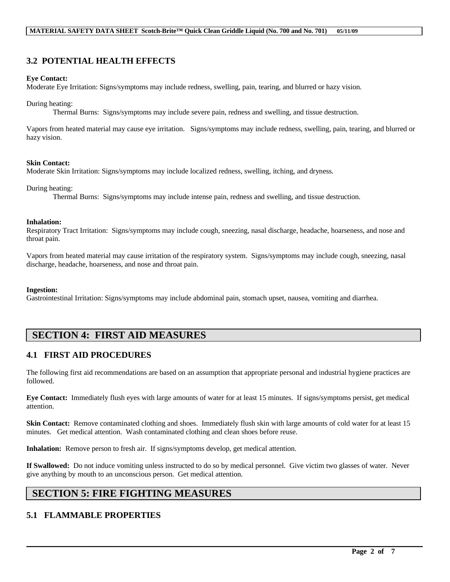## **3.2 POTENTIAL HEALTH EFFECTS**

#### **Eye Contact:**

Moderate Eye Irritation: Signs/symptoms may include redness, swelling, pain, tearing, and blurred or hazy vision.

#### During heating:

Thermal Burns: Signs/symptoms may include severe pain, redness and swelling, and tissue destruction.

Vapors from heated material may cause eye irritation. Signs/symptoms may include redness, swelling, pain, tearing, and blurred or hazy vision.

#### **Skin Contact:**

Moderate Skin Irritation: Signs/symptoms may include localized redness, swelling, itching, and dryness.

During heating:

Thermal Burns: Signs/symptoms may include intense pain, redness and swelling, and tissue destruction.

#### **Inhalation:**

Respiratory Tract Irritation: Signs/symptoms may include cough, sneezing, nasal discharge, headache, hoarseness, and nose and throat pain.

Vapors from heated material may cause irritation of the respiratory system. Signs/symptoms may include cough, sneezing, nasal discharge, headache, hoarseness, and nose and throat pain.

#### **Ingestion:**

Gastrointestinal Irritation: Signs/symptoms may include abdominal pain, stomach upset, nausea, vomiting and diarrhea.

# **SECTION 4: FIRST AID MEASURES**

## **4.1 FIRST AID PROCEDURES**

The following first aid recommendations are based on an assumption that appropriate personal and industrial hygiene practices are followed.

**Eye Contact:** Immediately flush eyes with large amounts of water for at least 15 minutes. If signs/symptoms persist, get medical attention.

**Skin Contact:** Remove contaminated clothing and shoes. Immediately flush skin with large amounts of cold water for at least 15 minutes. Get medical attention. Wash contaminated clothing and clean shoes before reuse.

**Inhalation:** Remove person to fresh air. If signs/symptoms develop, get medical attention.

**If Swallowed:** Do not induce vomiting unless instructed to do so by medical personnel. Give victim two glasses of water. Never give anything by mouth to an unconscious person. Get medical attention.

 $\mathcal{L}_\mathcal{L} = \mathcal{L}_\mathcal{L} = \mathcal{L}_\mathcal{L} = \mathcal{L}_\mathcal{L} = \mathcal{L}_\mathcal{L} = \mathcal{L}_\mathcal{L} = \mathcal{L}_\mathcal{L} = \mathcal{L}_\mathcal{L} = \mathcal{L}_\mathcal{L} = \mathcal{L}_\mathcal{L} = \mathcal{L}_\mathcal{L} = \mathcal{L}_\mathcal{L} = \mathcal{L}_\mathcal{L} = \mathcal{L}_\mathcal{L} = \mathcal{L}_\mathcal{L} = \mathcal{L}_\mathcal{L} = \mathcal{L}_\mathcal{L}$ 

## **SECTION 5: FIRE FIGHTING MEASURES**

## **5.1 FLAMMABLE PROPERTIES**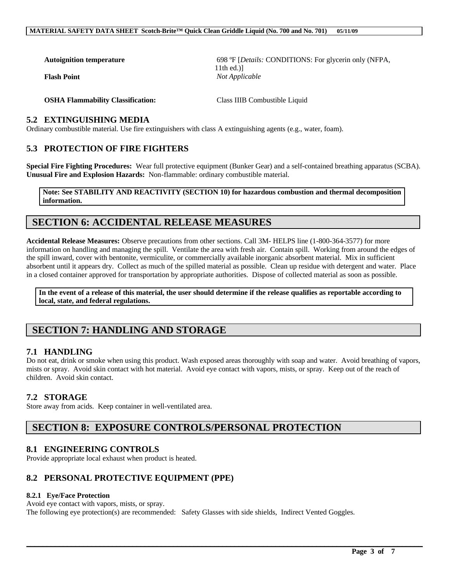**Autoignition temperature** 698 ºF [*Details:* CONDITIONS: For glycerin only (NFPA, 11th ed.)] **Flash Point** *Not Applicable*

**OSHA Flammability Classification:** Class IIIB Combustible Liquid

### **5.2 EXTINGUISHING MEDIA**

Ordinary combustible material. Use fire extinguishers with class A extinguishing agents (e.g., water, foam).

### **5.3 PROTECTION OF FIRE FIGHTERS**

**Special Fire Fighting Procedures:** Wear full protective equipment (Bunker Gear) and a self-contained breathing apparatus (SCBA). **Unusual Fire and Explosion Hazards:** Non-flammable: ordinary combustible material.

**Note: See STABILITY AND REACTIVITY (SECTION 10) for hazardous combustion and thermal decomposition information.**

## **SECTION 6: ACCIDENTAL RELEASE MEASURES**

**Accidental Release Measures:** Observe precautions from other sections. Call 3M- HELPS line (1-800-364-3577) for more information on handling and managing the spill. Ventilate the area with fresh air. Contain spill. Working from around the edges of the spill inward, cover with bentonite, vermiculite, or commercially available inorganic absorbent material. Mix in sufficient absorbent until it appears dry. Collect as much of the spilled material as possible. Clean up residue with detergent and water. Place in a closed container approved for transportation by appropriate authorities. Dispose of collected material as soon as possible.

**In the event of a release of this material, the user should determine if the release qualifies as reportable according to local, state, and federal regulations.**

# **SECTION 7: HANDLING AND STORAGE**

### **7.1 HANDLING**

Do not eat, drink or smoke when using this product. Wash exposed areas thoroughly with soap and water. Avoid breathing of vapors, mists or spray. Avoid skin contact with hot material. Avoid eye contact with vapors, mists, or spray. Keep out of the reach of children. Avoid skin contact.

 $\mathcal{L}_\mathcal{L} = \mathcal{L}_\mathcal{L} = \mathcal{L}_\mathcal{L} = \mathcal{L}_\mathcal{L} = \mathcal{L}_\mathcal{L} = \mathcal{L}_\mathcal{L} = \mathcal{L}_\mathcal{L} = \mathcal{L}_\mathcal{L} = \mathcal{L}_\mathcal{L} = \mathcal{L}_\mathcal{L} = \mathcal{L}_\mathcal{L} = \mathcal{L}_\mathcal{L} = \mathcal{L}_\mathcal{L} = \mathcal{L}_\mathcal{L} = \mathcal{L}_\mathcal{L} = \mathcal{L}_\mathcal{L} = \mathcal{L}_\mathcal{L}$ 

#### **7.2 STORAGE**

Store away from acids. Keep container in well-ventilated area.

# **SECTION 8: EXPOSURE CONTROLS/PERSONAL PROTECTION**

### **8.1 ENGINEERING CONTROLS**

Provide appropriate local exhaust when product is heated.

## **8.2 PERSONAL PROTECTIVE EQUIPMENT (PPE)**

#### **8.2.1 Eye/Face Protection**

Avoid eye contact with vapors, mists, or spray.

The following eye protection(s) are recommended: Safety Glasses with side shields, Indirect Vented Goggles.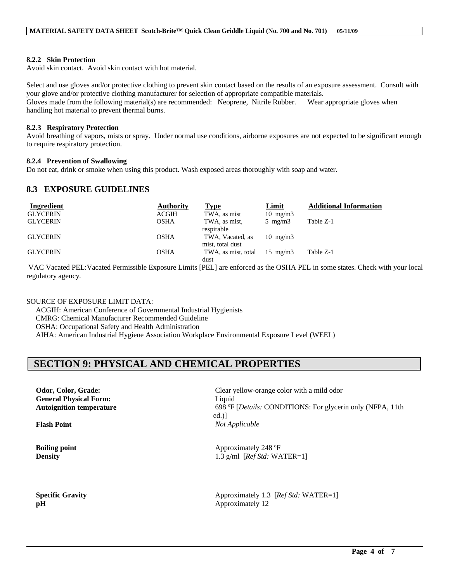#### **8.2.2 Skin Protection**

Avoid skin contact. Avoid skin contact with hot material.

Select and use gloves and/or protective clothing to prevent skin contact based on the results of an exposure assessment. Consult with your glove and/or protective clothing manufacturer for selection of appropriate compatible materials. Gloves made from the following material(s) are recommended: Neoprene, Nitrile Rubber. Wear appropriate gloves when handling hot material to prevent thermal burns.

#### **8.2.3 Respiratory Protection**

Avoid breathing of vapors, mists or spray. Under normal use conditions, airborne exposures are not expected to be significant enough to require respiratory protection.

#### **8.2.4 Prevention of Swallowing**

Do not eat, drink or smoke when using this product. Wash exposed areas thoroughly with soap and water.

### **8.3 EXPOSURE GUIDELINES**

| Ingredient      | <b>Authority</b> | <b>Type</b>                          | <b>Limit</b>      | <b>Additional Information</b> |
|-----------------|------------------|--------------------------------------|-------------------|-------------------------------|
| <b>GLYCERIN</b> | <b>ACGIH</b>     | TWA, as mist                         | $10 \text{ mg/m}$ |                               |
| <b>GLYCERIN</b> | <b>OSHA</b>      | TWA, as mist,<br>respirable          | $5 \text{ mg/m}$  | Table Z-1                     |
| <b>GLYCERIN</b> | <b>OSHA</b>      | TWA, Vacated, as<br>mist, total dust | $10 \text{ mg/m}$ |                               |
| <b>GLYCERIN</b> | <b>OSHA</b>      | TWA, as mist, total                  | $15 \text{ mg/m}$ | Table Z-1                     |
|                 |                  | dust                                 |                   |                               |

VAC Vacated PEL:Vacated Permissible Exposure Limits [PEL] are enforced as the OSHA PEL in some states. Check with your local regulatory agency.

 $\mathcal{L}_\mathcal{L} = \mathcal{L}_\mathcal{L} = \mathcal{L}_\mathcal{L} = \mathcal{L}_\mathcal{L} = \mathcal{L}_\mathcal{L} = \mathcal{L}_\mathcal{L} = \mathcal{L}_\mathcal{L} = \mathcal{L}_\mathcal{L} = \mathcal{L}_\mathcal{L} = \mathcal{L}_\mathcal{L} = \mathcal{L}_\mathcal{L} = \mathcal{L}_\mathcal{L} = \mathcal{L}_\mathcal{L} = \mathcal{L}_\mathcal{L} = \mathcal{L}_\mathcal{L} = \mathcal{L}_\mathcal{L} = \mathcal{L}_\mathcal{L}$ 

SOURCE OF EXPOSURE LIMIT DATA:

ACGIH: American Conference of Governmental Industrial Hygienists CMRG: Chemical Manufacturer Recommended Guideline OSHA: Occupational Safety and Health Administration AIHA: American Industrial Hygiene Association Workplace Environmental Exposure Level (WEEL)

# **SECTION 9: PHYSICAL AND CHEMICAL PROPERTIES**

**General Physical Form:** Liquid

**Odor, Color, Grade: Clear yellow-orange color with a mild odor Autoignition temperature** 698 ºF [*Details:* CONDITIONS: For glycerin only (NFPA, 11th ed.)] **Flash Point** *Not Applicable*

**Boiling point** Approximately 248 °F **Density** 1.3 g/ml [*Ref Std:* WATER=1]

**Specific Gravity** Approximately 1.3 [*Ref Std: WATER=1*] **pH** Approximately 12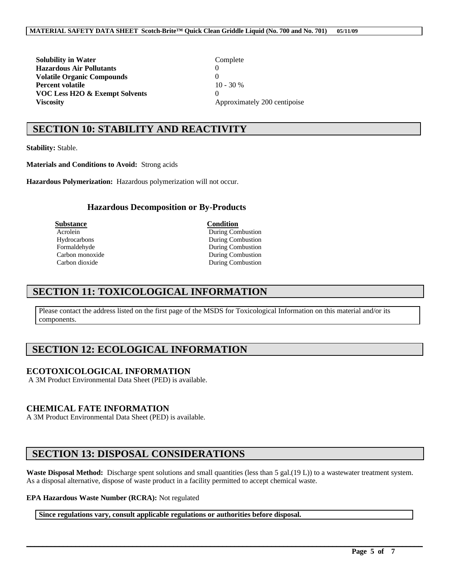**Solubility in Water** Complete **Hazardous Air Pollutants** 0 **Volatile Organic Compounds** 0 **Percent volatile** 10 - 30 % **VOC Less H2O & Exempt Solvents** 0 **Viscosity** Approximately 200 centipoise

# **SECTION 10: STABILITY AND REACTIVITY**

**Stability:** Stable.

**Materials and Conditions to Avoid:** Strong acids

**Hazardous Polymerization:** Hazardous polymerization will not occur.

#### **Hazardous Decomposition or By-Products**

**Substance Condition**

Acrolein During Combustion Hydrocarbons During Combustion Formaldehyde During Combustion Carbon monoxide and the During Combustion<br>Carbon dioxide Carbon During Combustion During Combustion

## **SECTION 11: TOXICOLOGICAL INFORMATION**

Please contact the address listed on the first page of the MSDS for Toxicological Information on this material and/or its components.

# **SECTION 12: ECOLOGICAL INFORMATION**

#### **ECOTOXICOLOGICAL INFORMATION**

A 3M Product Environmental Data Sheet (PED) is available.

#### **CHEMICAL FATE INFORMATION**

A 3M Product Environmental Data Sheet (PED) is available.

# **SECTION 13: DISPOSAL CONSIDERATIONS**

Waste Disposal Method: Discharge spent solutions and small quantities (less than 5 gal.(19 L)) to a wastewater treatment system. As a disposal alternative, dispose of waste product in a facility permitted to accept chemical waste.

 $\mathcal{L}_\mathcal{L} = \mathcal{L}_\mathcal{L} = \mathcal{L}_\mathcal{L} = \mathcal{L}_\mathcal{L} = \mathcal{L}_\mathcal{L} = \mathcal{L}_\mathcal{L} = \mathcal{L}_\mathcal{L} = \mathcal{L}_\mathcal{L} = \mathcal{L}_\mathcal{L} = \mathcal{L}_\mathcal{L} = \mathcal{L}_\mathcal{L} = \mathcal{L}_\mathcal{L} = \mathcal{L}_\mathcal{L} = \mathcal{L}_\mathcal{L} = \mathcal{L}_\mathcal{L} = \mathcal{L}_\mathcal{L} = \mathcal{L}_\mathcal{L}$ 

#### **EPA Hazardous Waste Number (RCRA):** Not regulated

#### **Since regulations vary, consult applicable regulations or authorities before disposal.**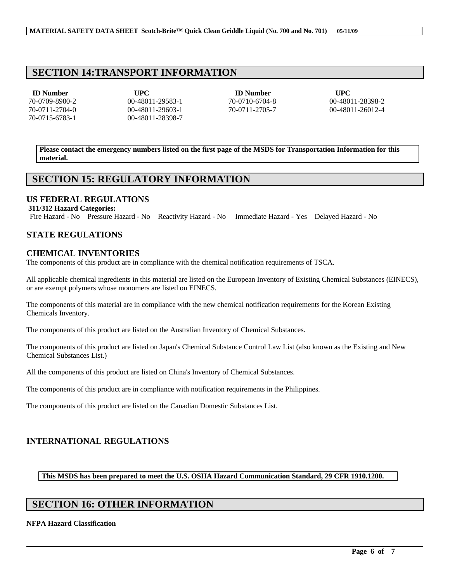## **SECTION 14:TRANSPORT INFORMATION**

**ID Number UPC ID Number UPC** 70-0709-8900-2 00-48011-29583-1 70-0710-6704-8 00-48011-28398-2 70-0711-2704-0 00-48011-29603-1 70-0711-2705-7 00-48011-26012-4 70-0715-6783-1 00-48011-28398-7

**Please contact the emergency numbers listed on the first page of the MSDS for Transportation Information for this material.**

# **SECTION 15: REGULATORY INFORMATION**

### **US FEDERAL REGULATIONS**

#### **311/312 Hazard Categories:**

Fire Hazard - No Pressure Hazard - No Reactivity Hazard - No Immediate Hazard - Yes Delayed Hazard - No

### **STATE REGULATIONS**

### **CHEMICAL INVENTORIES**

The components of this product are in compliance with the chemical notification requirements of TSCA.

All applicable chemical ingredients in this material are listed on the European Inventory of Existing Chemical Substances (EINECS), or are exempt polymers whose monomers are listed on EINECS.

The components of this material are in compliance with the new chemical notification requirements for the Korean Existing Chemicals Inventory.

The components of this product are listed on the Australian Inventory of Chemical Substances.

The components of this product are listed on Japan's Chemical Substance Control Law List (also known as the Existing and New Chemical Substances List.)

All the components of this product are listed on China's Inventory of Chemical Substances.

The components of this product are in compliance with notification requirements in the Philippines.

The components of this product are listed on the Canadian Domestic Substances List.

## **INTERNATIONAL REGULATIONS**

#### **This MSDS has been prepared to meet the U.S. OSHA Hazard Communication Standard, 29 CFR 1910.1200.**

 $\mathcal{L}_\mathcal{L} = \mathcal{L}_\mathcal{L} = \mathcal{L}_\mathcal{L} = \mathcal{L}_\mathcal{L} = \mathcal{L}_\mathcal{L} = \mathcal{L}_\mathcal{L} = \mathcal{L}_\mathcal{L} = \mathcal{L}_\mathcal{L} = \mathcal{L}_\mathcal{L} = \mathcal{L}_\mathcal{L} = \mathcal{L}_\mathcal{L} = \mathcal{L}_\mathcal{L} = \mathcal{L}_\mathcal{L} = \mathcal{L}_\mathcal{L} = \mathcal{L}_\mathcal{L} = \mathcal{L}_\mathcal{L} = \mathcal{L}_\mathcal{L}$ 

## **SECTION 16: OTHER INFORMATION**

**NFPA Hazard Classification**